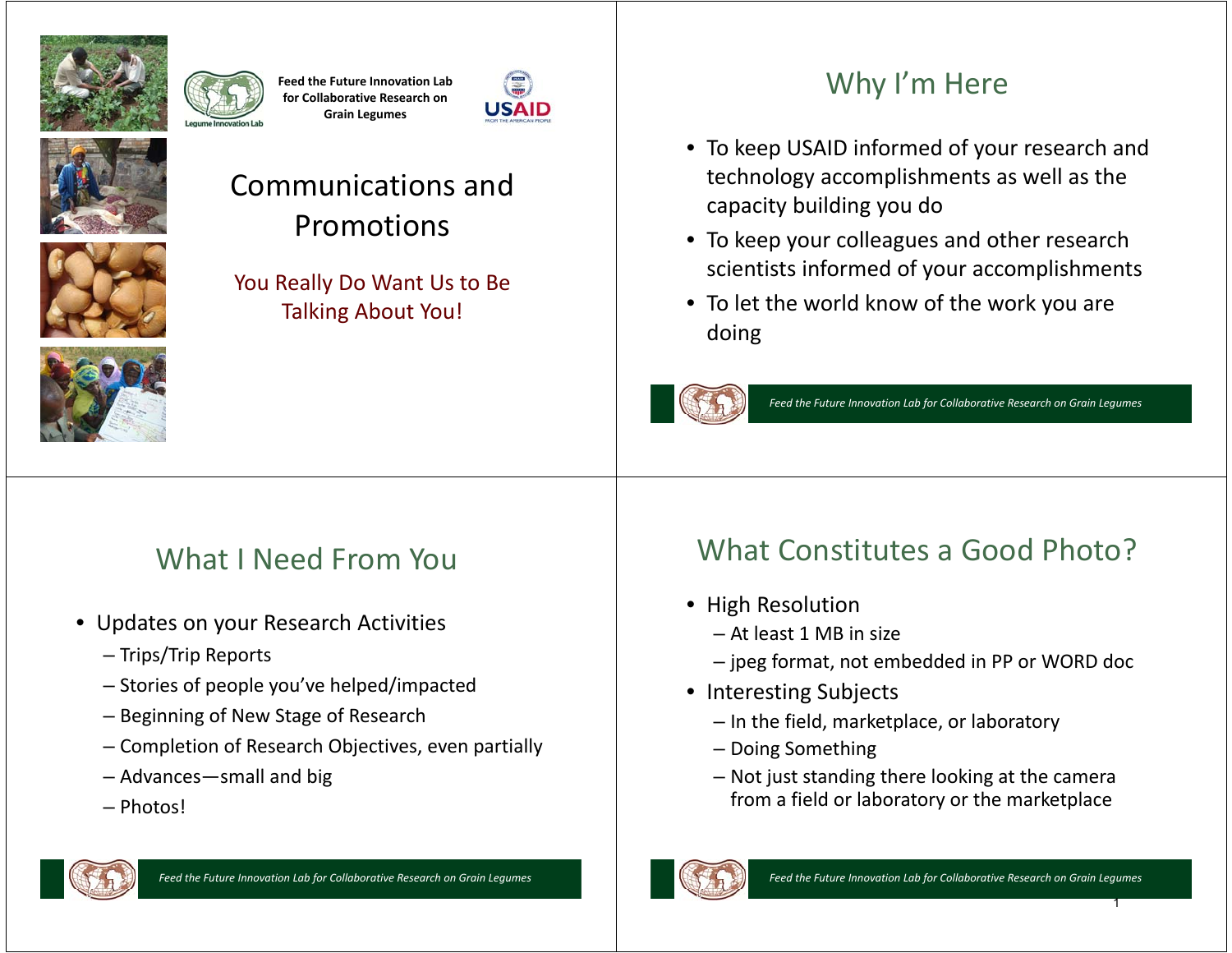

**Feed the Future Innovation Lab for Collaborative Research on Grain Legumes**





#### Communications and Promotions

You Really Do Want Us to Be Talking About You!



## What I Need From You

- Updates on your Research Activities
	- Trips/Trip Reports
	- Stories of people you've helped/impacted
	- Beginning of New Stage of Research
	- Completion of Research Objectives, even partially
	- Advances—small and big
	- Photos!

# Why I'm Here

- To keep USAID informed of your research and technology accomplishments as well as the capacity building you do
- To keep your colleagues and other research scientists informed of your accomplishments
- To let the world know of the work you are doing



*Feed the Future Innovation Lab for Collaborative Research on Grain Legumes*

#### *Feed the Future Innovation Lab for Collaborative Research on Grain Legumes*

#### What Constitutes a Good Photo?

- High Resolution
	- At least 1 MB in size
	- jpeg format, not embedded in PP or WORD doc
- Interesting Subjects
	- In the field, marketplace, or laboratory
	- Doing Something
	- Not just standing there looking at the camera from a field or laboratory or the marketplace



1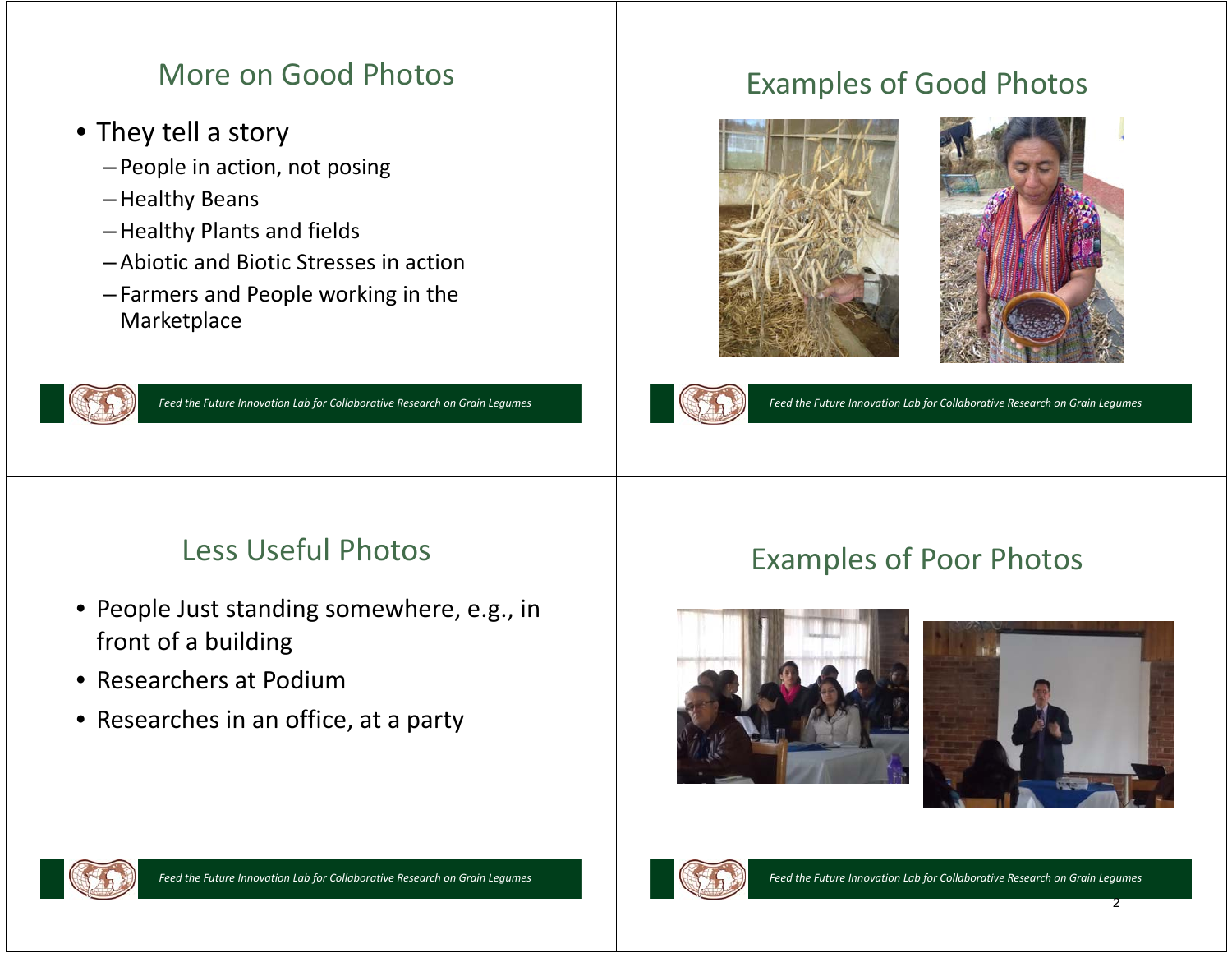#### More on Good Photos

- They tell a story
	- People in action, not posing
	- –Healthy Beans
	- –Healthy Plants and fields
	- Abiotic and Biotic Stresses in action
	- Farmers and People working in the Marketplace



*Feed the Future Innovation Lab for Collaborative Research on Grain Legumes*

#### Examples of Good Photos





*Feed the Future Innovation Lab for Collaborative Research on Grain Legumes*

#### Less Useful Photos

- People Just standing somewhere, e.g., in front of a building
- Researchers at Podium
- Researches in an office, at a party

#### Examples of Poor Photos